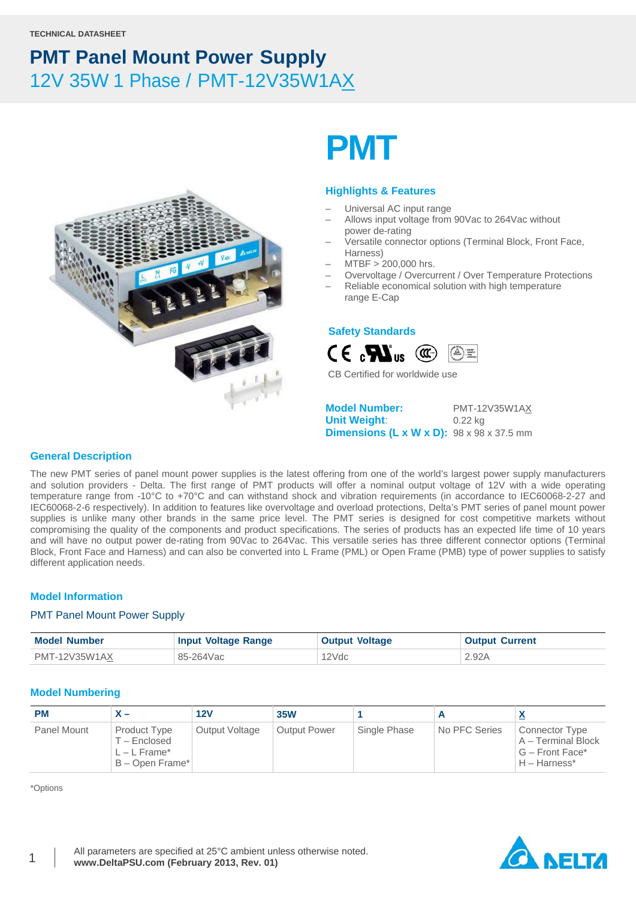

# **PMT**

### **Highlights & Features**

- Universal AC input range
- Allows input voltage from 90Vac to 264Vac without power de-rating
- Versatile connector options (Terminal Block, Front Face, Harness)
- MTBF > 200,000 hrs.
- Overvoltage / Overcurrent / Over Temperature Protections
- Reliable economical solution with high temperature range E-Cap

### **Safety Standards**



CB Certified for worldwide use

**Model Number:** PMT-12V35W1AX **Unit Weight**: 0.22 kg **Dimensions (L x W x D):** 98 x 98 x 37.5 mm

### **General Description**

The new PMT series of panel mount power supplies is the latest offering from one of the world's largest power supply manufacturers and solution providers - Delta. The first range of PMT products will offer a nominal output voltage of 12V with a wide operating temperature range from -10°C to +70°C and can withstand shock and vibration requirements (in accordance to IEC60068-2-27 and IEC60068-2-6 respectively). In addition to features like overvoltage and overload protections, Delta's PMT series of panel mount power supplies is unlike many other brands in the same price level. The PMT series is designed for cost competitive markets without compromising the quality of the components and product specifications. The series of products has an expected life time of 10 years and will have no output power de-rating from 90Vac to 264Vac. This versatile series has three different connector options (Terminal Block, Front Face and Harness) and can also be converted into L Frame (PML) or Open Frame (PMB) type of power supplies to satisfy different application needs.

### **Model Information**

### PMT Panel Mount Power Supply

| <b>Model Number</b> | <b>Input Voltage Range</b> | <b>Output Voltage</b> | <b>Output Current</b> |
|---------------------|----------------------------|-----------------------|-----------------------|
| PMT-12V35W1AX       | 85-264Vac                  | 12Vdc                 | 2.92A                 |

### **Model Numbering**

| <b>PM</b>          |                                                                 | 12V            | <b>35W</b>          |              |               | ≏                                                                                |
|--------------------|-----------------------------------------------------------------|----------------|---------------------|--------------|---------------|----------------------------------------------------------------------------------|
| <b>Panel Mount</b> | Product Type<br>T – Enclosed<br>L – L Frame*<br>B - Open Frame* | Output Voltage | <b>Output Power</b> | Single Phase | No PFC Series | <b>Connector Type</b><br>A - Terminal Block<br>G – Front Face*<br>$H - Harness*$ |

\*Options

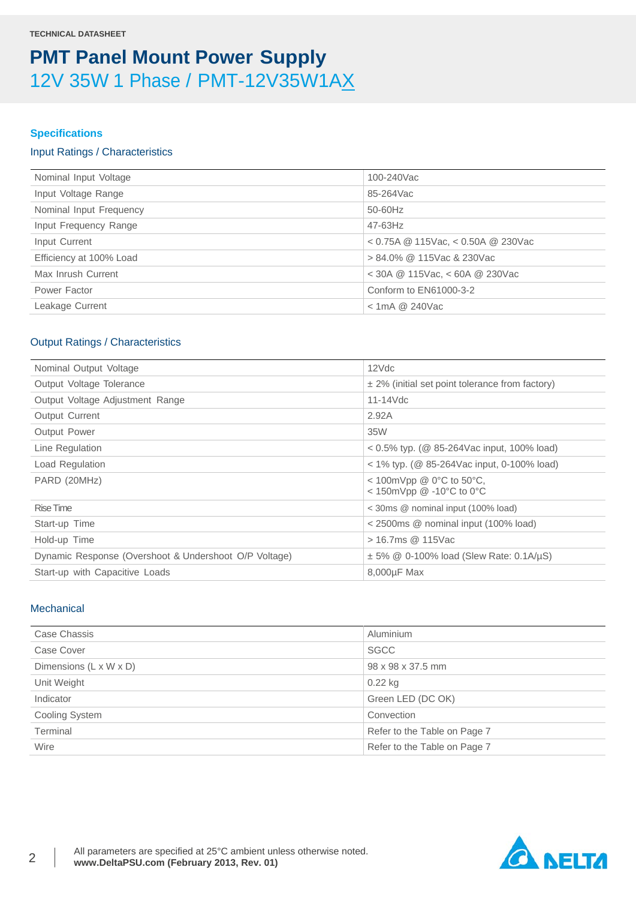### **Specifications**

### Input Ratings / Characteristics

| Nominal Input Voltage   | 100-240Vac                             |
|-------------------------|----------------------------------------|
| Input Voltage Range     | 85-264Vac                              |
| Nominal Input Frequency | 50-60Hz                                |
| Input Frequency Range   | 47-63Hz                                |
| Input Current           | $<$ 0.75A @ 115Vac, $<$ 0.50A @ 230Vac |
| Efficiency at 100% Load | > 84.0% @ 115Vac & 230Vac              |
| Max Inrush Current      | $<$ 30A @ 115Vac, $<$ 60A @ 230Vac     |
| Power Factor            | Conform to EN61000-3-2                 |
| Leakage Current         | $<$ 1mA @ 240Vac                       |
|                         |                                        |

### Output Ratings / Characteristics

| Nominal Output Voltage                                | 12Vdc                                                                       |
|-------------------------------------------------------|-----------------------------------------------------------------------------|
| Output Voltage Tolerance                              | $\pm$ 2% (initial set point tolerance from factory)                         |
| Output Voltage Adjustment Range                       | $11-14$ Vdc                                                                 |
| <b>Output Current</b>                                 | 2.92A                                                                       |
| <b>Output Power</b>                                   | 35W                                                                         |
| Line Regulation                                       | $0.5\%$ typ. (@ 85-264Vac input, 100% load)                                 |
| Load Regulation                                       | $<$ 1% typ. (@ 85-264Vac input, 0-100% load)                                |
| PARD (20MHz)                                          | < 100mVpp @ $0^{\circ}$ C to 50 $^{\circ}$ C,<br>< 150mVpp $@ -10°C$ to 0°C |
| <b>Rise Time</b>                                      | < 30ms @ nominal input (100% load)                                          |
| Start-up Time                                         | < 2500ms @ nominal input (100% load)                                        |
| Hold-up Time                                          | > 16.7ms @ 115Vac                                                           |
| Dynamic Response (Overshoot & Undershoot O/P Voltage) | $\pm$ 5% @ 0-100% load (Slew Rate: 0.1A/µS)                                 |
| Start-up with Capacitive Loads                        | 8,000µF Max                                                                 |

### **Mechanical**

| Case Chassis           | Aluminium                    |
|------------------------|------------------------------|
| Case Cover             | <b>SGCC</b>                  |
| Dimensions (L x W x D) | 98 x 98 x 37.5 mm            |
| Unit Weight            | $0.22$ kg                    |
| Indicator              | Green LED (DC OK)            |
| Cooling System         | Convection                   |
| Terminal               | Refer to the Table on Page 7 |
| Wire                   | Refer to the Table on Page 7 |

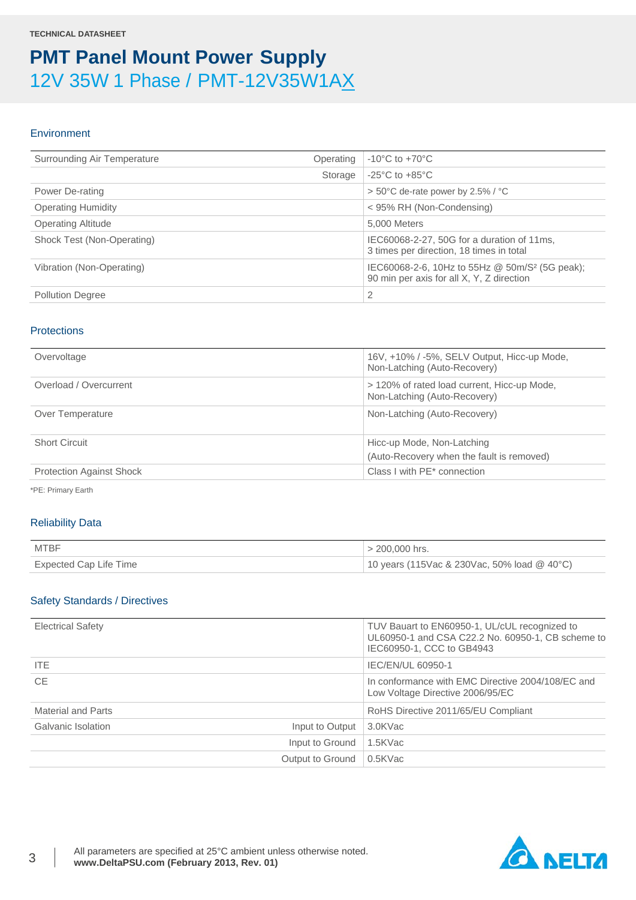### **Environment**

| Surrounding Air Temperature | Operating | $-10^{\circ}$ C to $+70^{\circ}$ C                                                                      |
|-----------------------------|-----------|---------------------------------------------------------------------------------------------------------|
|                             | Storage   | $-25^{\circ}$ C to $+85^{\circ}$ C                                                                      |
| Power De-rating             |           | $> 50^{\circ}$ C de-rate power by 2.5% / $^{\circ}$ C                                                   |
| <b>Operating Humidity</b>   |           | < 95% RH (Non-Condensing)                                                                               |
| <b>Operating Altitude</b>   |           | 5.000 Meters                                                                                            |
| Shock Test (Non-Operating)  |           | IEC60068-2-27, 50G for a duration of 11ms,<br>3 times per direction, 18 times in total                  |
| Vibration (Non-Operating)   |           | IEC60068-2-6, 10Hz to 55Hz @ 50m/S <sup>2</sup> (5G peak);<br>90 min per axis for all X, Y, Z direction |
| <b>Pollution Degree</b>     |           | 2                                                                                                       |

### **Protections**

| Overvoltage                     | 16V, +10% / -5%, SELV Output, Hicc-up Mode,<br>Non-Latching (Auto-Recovery) |
|---------------------------------|-----------------------------------------------------------------------------|
| Overload / Overcurrent          | > 120% of rated load current, Hicc-up Mode,<br>Non-Latching (Auto-Recovery) |
| Over Temperature                | Non-Latching (Auto-Recovery)                                                |
| <b>Short Circuit</b>            | Hicc-up Mode, Non-Latching<br>(Auto-Recovery when the fault is removed)     |
| <b>Protection Against Shock</b> | Class I with PE* connection                                                 |

\*PE: Primary Earth

### Reliability Data

| <b>MTBF</b>            | $> 200,000$ hrs.                            |
|------------------------|---------------------------------------------|
| Expected Cap Life Time | 10 years (115Vac & 230Vac, 50% load @ 40°C) |

### Safety Standards / Directives

| <b>Electrical Safety</b>              | TUV Bauart to EN60950-1, UL/cUL recognized to<br>UL60950-1 and CSA C22.2 No. 60950-1, CB scheme to<br>IEC60950-1, CCC to GB4943 |
|---------------------------------------|---------------------------------------------------------------------------------------------------------------------------------|
| ITE.                                  | IEC/EN/UL 60950-1                                                                                                               |
| <b>CE</b>                             | In conformance with EMC Directive 2004/108/EC and<br>Low Voltage Directive 2006/95/EC                                           |
| Material and Parts                    | RoHS Directive 2011/65/EU Compliant                                                                                             |
| Galvanic Isolation<br>Input to Output | 3.0KVac                                                                                                                         |
| Input to Ground                       | 1.5KVac                                                                                                                         |
| Output to Ground                      | 0.5KVac                                                                                                                         |

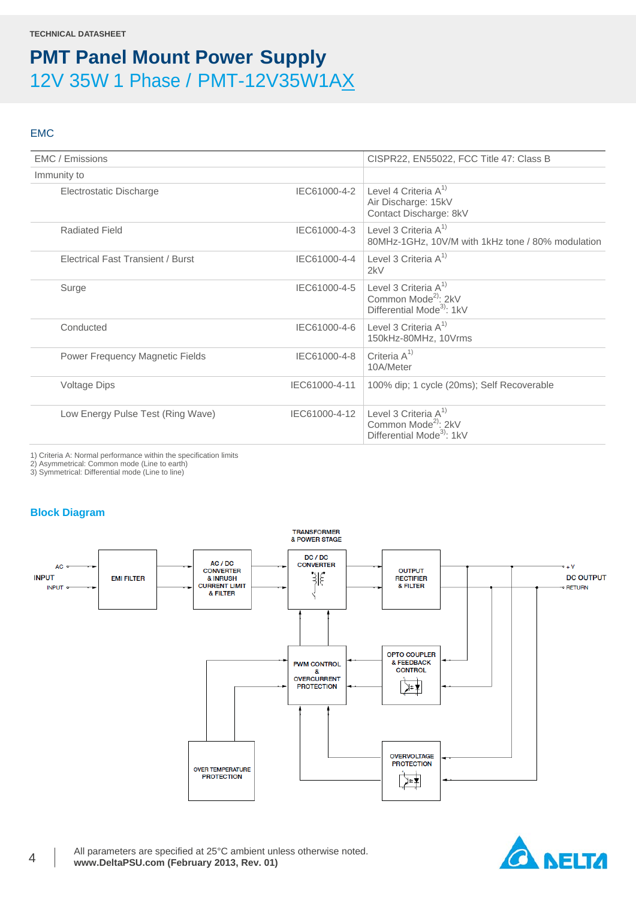### EMC

| EMC / Emissions                          |               | CISPR22, EN55022, FCC Title 47: Class B                                                             |
|------------------------------------------|---------------|-----------------------------------------------------------------------------------------------------|
| Immunity to                              |               |                                                                                                     |
| Electrostatic Discharge                  |               | IEC61000-4-2 Level 4 Criteria $A^{1}$<br>Air Discharge: 15kV<br>Contact Discharge: 8kV              |
| <b>Radiated Field</b>                    | IEC61000-4-3  | Level 3 Criteria $A^{1}$<br>80MHz-1GHz, 10V/M with 1kHz tone / 80% modulation                       |
| <b>Electrical Fast Transient / Burst</b> | IEC61000-4-4  | Level 3 Criteria $A^{1}$<br>2kV                                                                     |
| Surge                                    | IEC61000-4-5  | Level 3 Criteria $A^{1}$<br>Common Mode <sup>2)</sup> : 2kV<br>Differential Mode <sup>3</sup> : 1kV |
| Conducted                                | IEC61000-4-6  | Level 3 Criteria $A^{1}$<br>150kHz-80MHz, 10Vrms                                                    |
| Power Frequency Magnetic Fields          | IEC61000-4-8  | Criteria $A^{1}$<br>10A/Meter                                                                       |
| <b>Voltage Dips</b>                      | IEC61000-4-11 | 100% dip; 1 cycle (20ms); Self Recoverable                                                          |
| Low Energy Pulse Test (Ring Wave)        | IEC61000-4-12 | Level 3 Criteria $A^{1}$<br>Common Mode <sup>2)</sup> : 2kV<br>Differential Mode <sup>3</sup> : 1kV |
|                                          |               |                                                                                                     |

1) Criteria A: Normal performance within the specification limits

2) Asymmetrical: Common mode (Line to earth)

3) Symmetrical: Differential mode (Line to line)

### **Block Diagram**



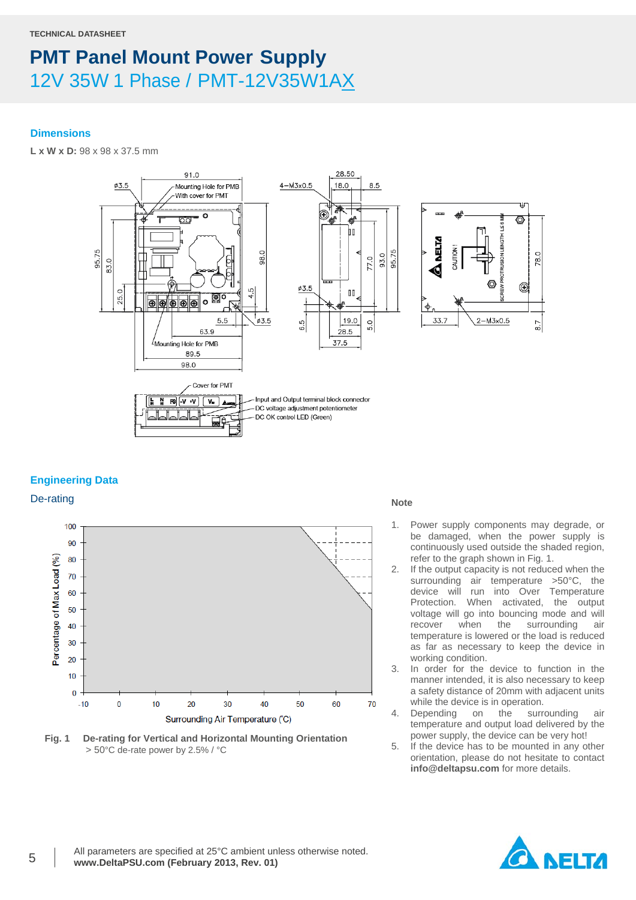### **Dimensions**

**L x W x D:** 98 x 98 x 37.5 mm



### **Engineering Data**



**Fig. 1 De-rating for Vertical and Horizontal Mounting Orientation** > 50°C de-rate power by 2.5% / °C

- 1. Power supply components may degrade, or be damaged, when the power supply is continuously used outside the shaded region, refer to the graph shown in Fig. 1.
- 2. If the output capacity is not reduced when the surrounding air temperature >50°C, the device will run into Over Temperature Protection. When activated, the output voltage will go into bouncing mode and will<br>recover when the surrounding air recover when the surrounding air temperature is lowered or the load is reduced as far as necessary to keep the device in working condition.
- 3. In order for the device to function in the manner intended, it is also necessary to keep a safety distance of 20mm with adjacent units while the device is in operation.
- 4. Depending on the surrounding air temperature and output load delivered by the power supply, the device can be very hot!
- 5. If the device has to be mounted in any other orientation, please do not hesitate to contact **info@deltapsu.com** for more details.

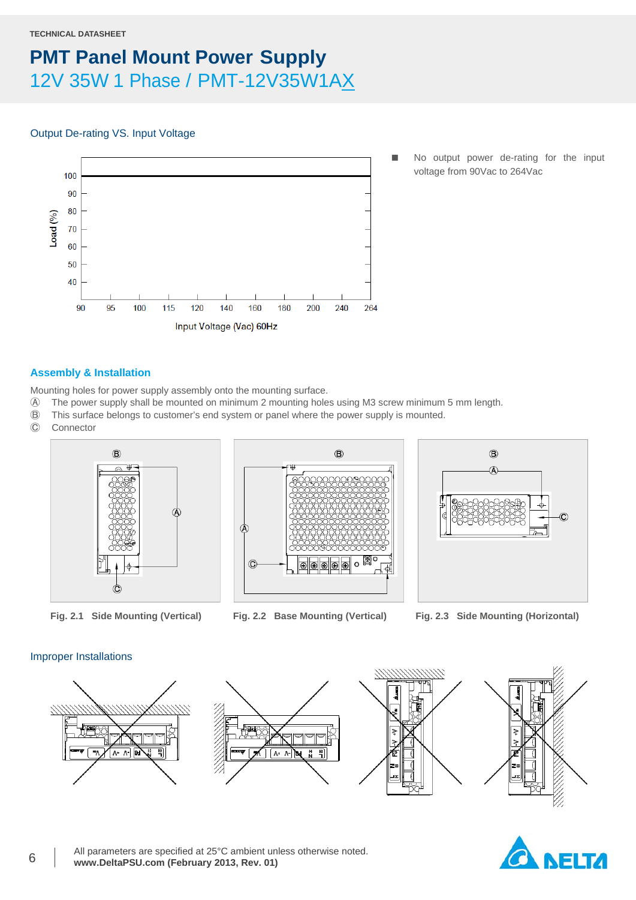#### **TECHNICAL DATASHEET**

### **PMT Panel Mount Power Supply** 12V 35W 1 Phase / PMT-12V35W1AX

### Output De-rating VS. Input Voltage



 No output power de-rating for the input voltage from 90Vac to 264Vac

### **Assembly & Installation**

Mounting holes for power supply assembly onto the mounting surface.

- Ⓐ The power supply shall be mounted on minimum 2 mounting holes using M3 screw minimum 5 mm length.
- Ⓑ This surface belongs to customer's end system or panel where the power supply is mounted.
- **Connector**







**Fig. 2.1 Side Mounting (Vertical) Fig. 2.2 Base Mounting (Vertical) Fig. 2.3 Side Mounting (Horizontal)**

### Improper Installations



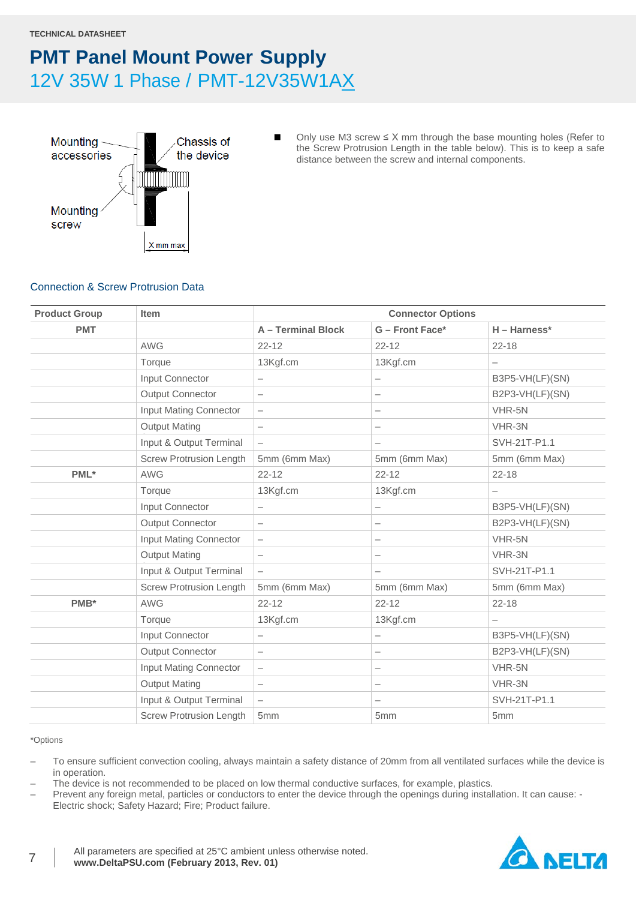

■ Only use M3 screw  $\leq$  X mm through the base mounting holes (Refer to the Screw Protrusion Length in the table below). This is to keep a safe distance between the screw and internal components.

### Connection & Screw Protrusion Data

| <b>Product Group</b> | <b>Item</b>                    | <b>Connector Options</b> |                          |                          |
|----------------------|--------------------------------|--------------------------|--------------------------|--------------------------|
| <b>PMT</b>           |                                | <b>A-Terminal Block</b>  | G - Front Face*          | $H - Harness*$           |
|                      | <b>AWG</b>                     | $22 - 12$                | $22 - 12$                | $22 - 18$                |
|                      | Torque                         | 13Kgf.cm                 | 13Kgf.cm                 |                          |
|                      | Input Connector                | $\qquad \qquad -$        | -                        | B3P5-VH(LF)(SN)          |
|                      | <b>Output Connector</b>        | $\overline{\phantom{0}}$ |                          | B2P3-VH(LF)(SN)          |
|                      | <b>Input Mating Connector</b>  | $\qquad \qquad -$        | $\overline{\phantom{0}}$ | VHR-5N                   |
|                      | <b>Output Mating</b>           | $\overline{\phantom{0}}$ |                          | VHR-3N                   |
|                      | Input & Output Terminal        | $\qquad \qquad -$        |                          | SVH-21T-P1.1             |
|                      | <b>Screw Protrusion Length</b> | 5mm (6mm Max)            | 5mm (6mm Max)            | 5mm (6mm Max)            |
| PML*                 | <b>AWG</b>                     | $22 - 12$                | $22 - 12$                | $22 - 18$                |
|                      | Torque                         | 13Kgf.cm                 | 13Kgf.cm                 |                          |
|                      | Input Connector                | —                        | $\overline{\phantom{0}}$ | B3P5-VH(LF)(SN)          |
|                      | <b>Output Connector</b>        | $\overline{\phantom{0}}$ | —                        | B2P3-VH(LF)(SN)          |
|                      | Input Mating Connector         | $\overline{\phantom{0}}$ |                          | VHR-5N                   |
|                      | <b>Output Mating</b>           |                          |                          | VHR-3N                   |
|                      | Input & Output Terminal        | $\qquad \qquad -$        |                          | SVH-21T-P1.1             |
|                      | <b>Screw Protrusion Length</b> | 5mm (6mm Max)            | 5mm (6mm Max)            | 5mm (6mm Max)            |
| PMB*                 | <b>AWG</b>                     | $22 - 12$                | $22 - 12$                | $22 - 18$                |
|                      | Torque                         | 13Kgf.cm                 | 13Kgf.cm                 | $\overline{\phantom{0}}$ |
|                      | Input Connector                | —                        | -                        | B3P5-VH(LF)(SN)          |
|                      | <b>Output Connector</b>        | $\qquad \qquad -$        | $\overline{\phantom{m}}$ | B2P3-VH(LF)(SN)          |
|                      | Input Mating Connector         | $\qquad \qquad -$        | —                        | VHR-5N                   |
|                      | <b>Output Mating</b>           |                          |                          | VHR-3N                   |
|                      | Input & Output Terminal        | $\qquad \qquad -$        | $\overline{\phantom{0}}$ | SVH-21T-P1.1             |
|                      | <b>Screw Protrusion Length</b> | 5mm                      | 5 <sub>mm</sub>          | 5mm                      |

#### \*Options

– To ensure sufficient convection cooling, always maintain a safety distance of 20mm from all ventilated surfaces while the device is in operation.

– The device is not recommended to be placed on low thermal conductive surfaces, for example, plastics.

– Prevent any foreign metal, particles or conductors to enter the device through the openings during installation. It can cause: - Electric shock; Safety Hazard; Fire; Product failure.

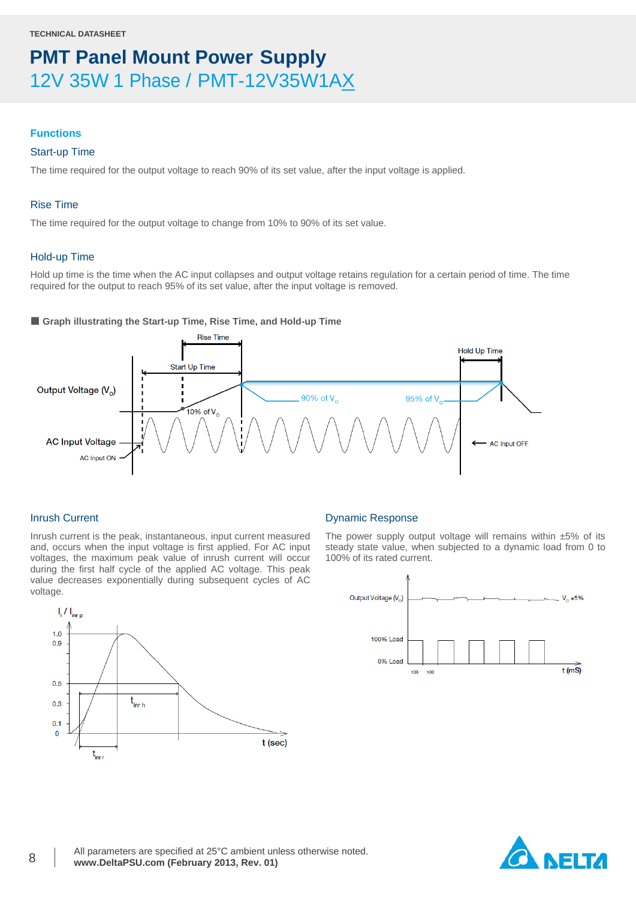#### **Functions**

### Start-up Time

The time required for the output voltage to reach 90% of its set value, after the input voltage is applied.

### Rise Time

The time required for the output voltage to change from 10% to 90% of its set value.

### Hold-up Time

Hold up time is the time when the AC input collapses and output voltage retains regulation for a certain period of time. The time required for the output to reach 95% of its set value, after the input voltage is removed.

### ■ Graph illustrating the Start-up Time, Rise Time, and Hold-up Time



### Inrush Current

Inrush current is the peak, instantaneous, input current measured and, occurs when the input voltage is first applied. For AC input voltages, the maximum peak value of inrush current will occur during the first half cycle of the applied AC voltage. This peak value decreases exponentially during subsequent cycles of AC voltage.



#### Dynamic Response

The power supply output voltage will remains within  $±5\%$  of its steady state value, when subjected to a dynamic load from 0 to 100% of its rated current.